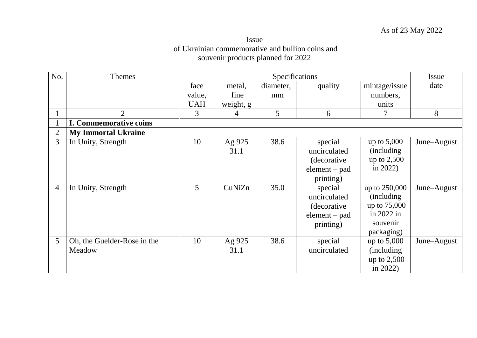## Issue of Ukrainian commemorative and bullion coins and souvenir products planned for 2022

| No.            | Themes                        |            |                | Specifications |                 |               | <b>Issue</b> |
|----------------|-------------------------------|------------|----------------|----------------|-----------------|---------------|--------------|
|                |                               | face       | metal,         | diameter,      | quality         | mintage/issue | date         |
|                |                               | value,     | fine           | mm             |                 | numbers,      |              |
|                |                               | <b>UAH</b> | weight, g      |                |                 | units         |              |
| $\mathbf{I}$   | 2                             | 3          | $\overline{4}$ | 5              | 6               |               | 8            |
|                | <b>I. Commemorative coins</b> |            |                |                |                 |               |              |
| $\overline{2}$ | <b>My Immortal Ukraine</b>    |            |                |                |                 |               |              |
| 3              | In Unity, Strength            | 10         | Ag 925         | 38.6           | special         | up to $5,000$ | June–August  |
|                |                               |            | 31.1           |                | uncirculated    | (including)   |              |
|                |                               |            |                |                | (decorative)    | up to 2,500   |              |
|                |                               |            |                |                | $element - pad$ | in $2022$ )   |              |
|                |                               |            |                |                | printing)       |               |              |
| $\overline{4}$ | In Unity, Strength            | 5          | CuNiZn         | 35.0           | special         | up to 250,000 | June–August  |
|                |                               |            |                |                | uncirculated    | (including)   |              |
|                |                               |            |                |                | (decorative)    | up to 75,000  |              |
|                |                               |            |                |                | $element - pad$ | in 2022 in    |              |
|                |                               |            |                |                | printing)       | souvenir      |              |
|                |                               |            |                |                |                 | packaging)    |              |
| 5              | Oh, the Guelder-Rose in the   | 10         | Ag 925         | 38.6           | special         | up to $5,000$ | June–August  |
|                | Meadow                        |            | 31.1           |                | uncirculated    | (including)   |              |
|                |                               |            |                |                |                 | up to $2,500$ |              |
|                |                               |            |                |                |                 | in 2022)      |              |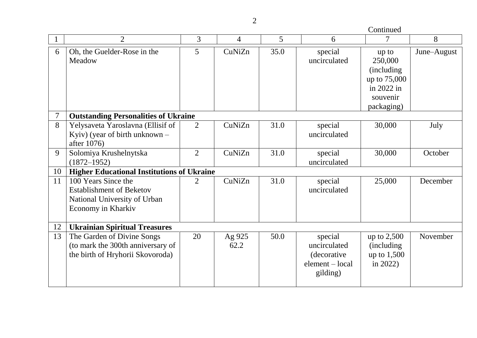|                | $\overline{2}$                                                                                               | 3              | $\overline{4}$ | 5    | 6                                                                      | $\overline{7}$                                                                          | 8           |
|----------------|--------------------------------------------------------------------------------------------------------------|----------------|----------------|------|------------------------------------------------------------------------|-----------------------------------------------------------------------------------------|-------------|
| 6              | Oh, the Guelder-Rose in the<br>Meadow                                                                        | 5              | CuNiZn         | 35.0 | special<br>uncirculated                                                | up to<br>250,000<br>(including)<br>up to 75,000<br>in 2022 in<br>souvenir<br>packaging) | June–August |
| $\overline{7}$ | <b>Outstanding Personalities of Ukraine</b>                                                                  |                |                |      |                                                                        |                                                                                         |             |
| 8              | Yelysaveta Yaroslavna (Ellisif of<br>Kyiv) (year of birth unknown $-$<br>after 1076)                         | $\overline{2}$ | CuNiZn         | 31.0 | special<br>uncirculated                                                | 30,000                                                                                  | July        |
| 9              | Solomiya Krushelnytska<br>$(1872 - 1952)$                                                                    | $\overline{2}$ | CuNiZn         | 31.0 | special<br>uncirculated                                                | 30,000                                                                                  | October     |
| 10             | <b>Higher Educational Institutions of Ukraine</b>                                                            |                |                |      |                                                                        |                                                                                         |             |
| 11             | 100 Years Since the<br><b>Establishment of Beketov</b><br>National University of Urban<br>Economy in Kharkiv | $\overline{2}$ | CuNiZn         | 31.0 | special<br>uncirculated                                                | 25,000                                                                                  | December    |
| 12             | <b>Ukrainian Spiritual Treasures</b>                                                                         |                |                |      |                                                                        |                                                                                         |             |
| 13             | The Garden of Divine Songs<br>(to mark the 300th anniversary of<br>the birth of Hryhorii Skovoroda)          | 20             | Ag 925<br>62.2 | 50.0 | special<br>uncirculated<br>(decorative)<br>element – local<br>gilding) | up to $2,500$<br>(including)<br>up to $1,500$<br>in $2022$ )                            | November    |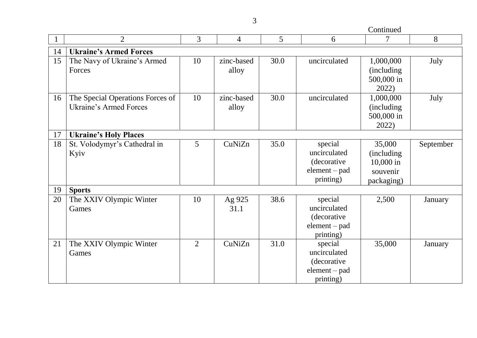Continued

|    | $\overline{2}$                                                    | $\overline{3}$ | $\overline{4}$      | 5    | 6                                                                      | 7                                                            | 8         |
|----|-------------------------------------------------------------------|----------------|---------------------|------|------------------------------------------------------------------------|--------------------------------------------------------------|-----------|
| 14 | <b>Ukraine's Armed Forces</b>                                     |                |                     |      |                                                                        |                                                              |           |
| 15 | The Navy of Ukraine's Armed<br>Forces                             | 10             | zinc-based<br>alloy | 30.0 | uncirculated                                                           | 1,000,000<br><i>(including)</i><br>500,000 in<br>2022)       | July      |
| 16 | The Special Operations Forces of<br><b>Ukraine's Armed Forces</b> | 10             | zinc-based<br>alloy | 30.0 | uncirculated                                                           | 1,000,000<br>(including)<br>500,000 in<br>2022)              | July      |
| 17 | <b>Ukraine's Holy Places</b>                                      |                |                     |      |                                                                        |                                                              |           |
| 18 | St. Volodymyr's Cathedral in<br>Kyiv                              | 5              | CuNiZn              | 35.0 | special<br>uncirculated<br>(decorative<br>$element - pad$<br>printing) | 35,000<br>(including)<br>10,000 in<br>souvenir<br>packaging) | September |
| 19 | <b>Sports</b>                                                     |                |                     |      |                                                                        |                                                              |           |
| 20 | The XXIV Olympic Winter<br>Games                                  | 10             | Ag 925<br>31.1      | 38.6 | special<br>uncirculated<br>(decorative<br>element – pad<br>printing)   | 2,500                                                        | January   |
| 21 | The XXIV Olympic Winter<br>Games                                  | $\overline{2}$ | CuNiZn              | 31.0 | special<br>uncirculated<br>(decorative<br>$element - pad$<br>printing) | 35,000                                                       | January   |

3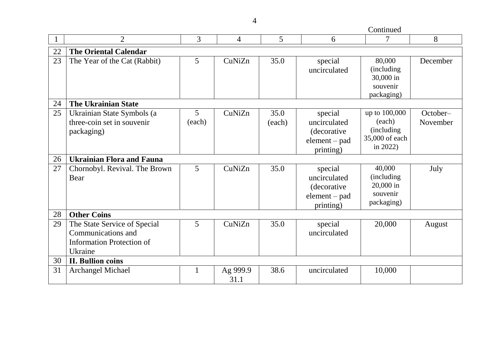Continued

|    | $\overline{2}$                                                                                    | 3                        | $\overline{4}$   | 5              | 6                                                                              | 7                                                                       | 8                    |
|----|---------------------------------------------------------------------------------------------------|--------------------------|------------------|----------------|--------------------------------------------------------------------------------|-------------------------------------------------------------------------|----------------------|
| 22 | <b>The Oriental Calendar</b>                                                                      |                          |                  |                |                                                                                |                                                                         |                      |
| 23 | The Year of the Cat (Rabbit)                                                                      | 5                        | CuNiZn           | 35.0           | special<br>uncirculated                                                        | 80,000<br>(including)<br>30,000 in<br>souvenir                          | December             |
|    |                                                                                                   |                          |                  |                |                                                                                | packaging)                                                              |                      |
| 24 | <b>The Ukrainian State</b>                                                                        |                          |                  |                |                                                                                |                                                                         |                      |
| 25 | Ukrainian State Symbols (a<br>three-coin set in souvenir<br>packaging)                            | 5 <sup>5</sup><br>(each) | CuNiZn           | 35.0<br>(each) | special<br>uncirculated<br><i>(decorative)</i><br>$element - pad$<br>printing) | up to 100,000<br>(each)<br>(including)<br>35,000 of each<br>in $2022$ ) | October-<br>November |
| 26 | <b>Ukrainian Flora and Fauna</b>                                                                  |                          |                  |                |                                                                                |                                                                         |                      |
| 27 | Chornobyl. Revival. The Brown<br>Bear                                                             | 5                        | CuNiZn           | 35.0           | special<br>uncirculated<br>(decorative<br>$element - pad$<br>printing)         | 40,000<br>(including)<br>20,000 in<br>souvenir<br>packaging)            | July                 |
| 28 | <b>Other Coins</b>                                                                                |                          |                  |                |                                                                                |                                                                         |                      |
| 29 | The State Service of Special<br>Communications and<br><b>Information Protection of</b><br>Ukraine | 5                        | CuNiZn           | 35.0           | special<br>uncirculated                                                        | 20,000                                                                  | August               |
| 30 | <b>II. Bullion coins</b>                                                                          |                          |                  |                |                                                                                |                                                                         |                      |
| 31 | <b>Archangel Michael</b>                                                                          |                          | Ag 999.9<br>31.1 | 38.6           | uncirculated                                                                   | 10,000                                                                  |                      |

4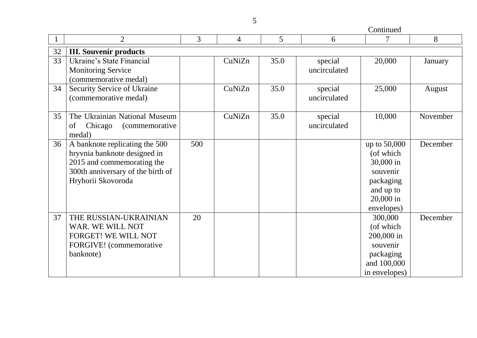Continued

|    | $\overline{2}$                                                                                                                                          | 3   | $\overline{4}$ | 5    | 6                       | 7                                                                                                       | 8        |
|----|---------------------------------------------------------------------------------------------------------------------------------------------------------|-----|----------------|------|-------------------------|---------------------------------------------------------------------------------------------------------|----------|
| 32 | <b>III. Souvenir products</b>                                                                                                                           |     |                |      |                         |                                                                                                         |          |
| 33 | Ukraine's State Financial<br><b>Monitoring Service</b><br>(commemorative medal)                                                                         |     | CuNiZn         | 35.0 | special<br>uncirculated | 20,000                                                                                                  | January  |
| 34 | <b>Security Service of Ukraine</b><br>(commemorative medal)                                                                                             |     | CuNiZn         | 35.0 | special<br>uncirculated | 25,000                                                                                                  | August   |
| 35 | The Ukrainian National Museum<br>Chicago<br><i>(commemorative</i> )<br>of<br>medal)                                                                     |     | CuNiZn         | 35.0 | special<br>uncirculated | 10,000                                                                                                  | November |
| 36 | A banknote replicating the 500<br>hryvnia banknote designed in<br>2015 and commemorating the<br>300th anniversary of the birth of<br>Hryhorii Skovoroda | 500 |                |      |                         | up to 50,000<br>(of which<br>30,000 in<br>souvenir<br>packaging<br>and up to<br>20,000 in<br>envelopes) | December |
| 37 | THE RUSSIAN-UKRAINIAN<br>WAR. WE WILL NOT<br>FORGET! WE WILL NOT<br>FORGIVE! (commemorative<br>banknote)                                                | 20  |                |      |                         | 300,000<br>(of which<br>200,000 in<br>souvenir<br>packaging<br>and 100,000<br>in envelopes)             | December |

5